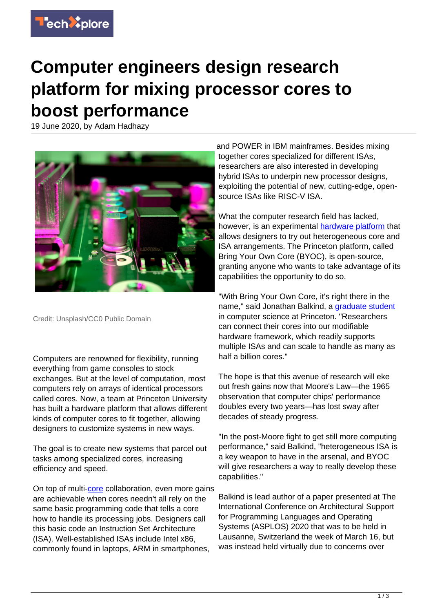

## **Computer engineers design research platform for mixing processor cores to boost performance**

19 June 2020, by Adam Hadhazy



Credit: Unsplash/CC0 Public Domain

Computers are renowned for flexibility, running everything from game consoles to stock exchanges. But at the level of computation, most computers rely on arrays of identical processors called cores. Now, a team at Princeton University has built a hardware platform that allows different kinds of computer cores to fit together, allowing designers to customize systems in new ways.

The goal is to create new systems that parcel out tasks among specialized cores, increasing efficiency and speed.

On top of multi-[core](https://techxplore.com/tags/core/) collaboration, even more gains are achievable when cores needn't all rely on the same basic programming code that tells a core how to handle its processing jobs. Designers call this basic code an Instruction Set Architecture (ISA). Well-established ISAs include Intel x86, commonly found in laptops, ARM in smartphones,

and POWER in IBM mainframes. Besides mixing together cores specialized for different ISAs, researchers are also interested in developing hybrid ISAs to underpin new processor designs, exploiting the potential of new, cutting-edge, opensource ISAs like RISC-V ISA.

What the computer research field has lacked, however, is an experimental [hardware platform](https://techxplore.com/tags/hardware+platform/) that allows designers to try out heterogeneous core and ISA arrangements. The Princeton platform, called Bring Your Own Core (BYOC), is open-source, granting anyone who wants to take advantage of its capabilities the opportunity to do so.

"With Bring Your Own Core, it's right there in the name," said Jonathan Balkind, a [graduate student](https://techxplore.com/tags/graduate+student/) in computer science at Princeton. "Researchers can connect their cores into our modifiable hardware framework, which readily supports multiple ISAs and can scale to handle as many as half a billion cores."

The hope is that this avenue of research will eke out fresh gains now that Moore's Law—the 1965 observation that computer chips' performance doubles every two years—has lost sway after decades of steady progress.

"In the post-Moore fight to get still more computing performance," said Balkind, "heterogeneous ISA is a key weapon to have in the arsenal, and BYOC will give researchers a way to really develop these capabilities."

Balkind is lead author of a paper presented at The International Conference on Architectural Support for Programming Languages and Operating Systems (ASPLOS) 2020 that was to be held in Lausanne, Switzerland the week of March 16, but was instead held virtually due to concerns over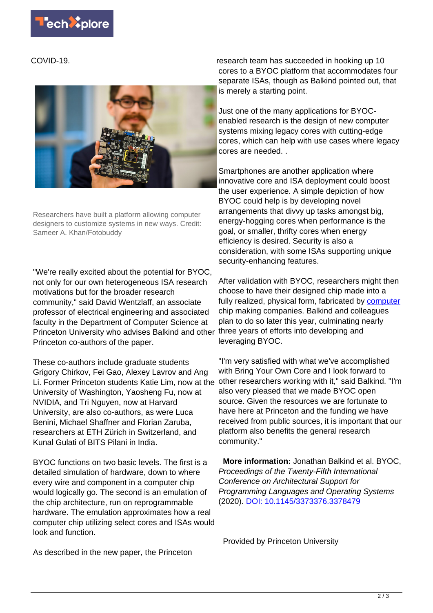COVID-19.



Researchers have built a platform allowing computer designers to customize systems in new ways. Credit: Sameer A. Khan/Fotobuddy

"We're really excited about the potential for BYOC, not only for our own heterogeneous ISA research motivations but for the broader research community," said David Wentzlaff, an associate professor of electrical engineering and associated faculty in the Department of Computer Science at Princeton University who advises Balkind and other three years of efforts into developing and Princeton co-authors of the paper.

These co-authors include graduate students Grigory Chirkov, Fei Gao, Alexey Lavrov and Ang Li. Former Princeton students Katie Lim, now at the University of Washington, Yaosheng Fu, now at NVIDIA, and Tri Nguyen, now at Harvard University, are also co-authors, as were Luca Benini, Michael Shaffner and Florian Zaruba, researchers at ETH Zürich in Switzerland, and Kunal Gulati of BITS Pilani in India.

BYOC functions on two basic levels. The first is a detailed simulation of hardware, down to where every wire and component in a computer chip would logically go. The second is an emulation of the chip architecture, run on reprogrammable hardware. The emulation approximates how a real computer chip utilizing select cores and ISAs would look and function.

research team has succeeded in hooking up 10 cores to a BYOC platform that accommodates four separate ISAs, though as Balkind pointed out, that is merely a starting point.

Just one of the many applications for BYOCenabled research is the design of new computer systems mixing legacy cores with cutting-edge cores, which can help with use cases where legacy cores are needed. .

Smartphones are another application where innovative core and ISA deployment could boost the user experience. A simple depiction of how BYOC could help is by developing novel arrangements that divvy up tasks amongst big, energy-hogging cores when performance is the goal, or smaller, thrifty cores when energy efficiency is desired. Security is also a consideration, with some ISAs supporting unique security-enhancing features.

After validation with BYOC, researchers might then choose to have their designed chip made into a fully realized, physical form, fabricated by [computer](https://techxplore.com/tags/computer/) chip making companies. Balkind and colleagues plan to do so later this year, culminating nearly leveraging BYOC.

"I'm very satisfied with what we've accomplished with Bring Your Own Core and I look forward to other researchers working with it," said Balkind. "I'm also very pleased that we made BYOC open source. Given the resources we are fortunate to have here at Princeton and the funding we have received from public sources, it is important that our platform also benefits the general research community."

 **More information:** Jonathan Balkind et al. BYOC, Proceedings of the Twenty-Fifth International Conference on Architectural Support for Programming Languages and Operating Systems (2020). [DOI: 10.1145/3373376.3378479](http://dx.doi.org/10.1145/3373376.3378479)

Provided by Princeton University

As described in the new paper, the Princeton